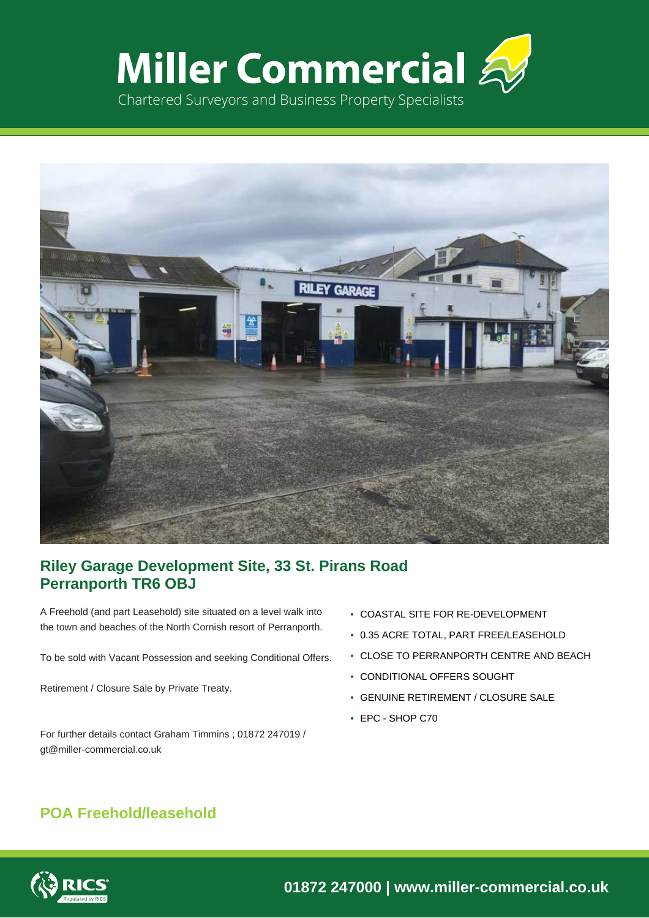



## **Riley Garage Development Site, 33 St. Pirans Road Perranporth TR6 OBJ**

A Freehold (and part Leasehold) site situated on a level walk into the town and beaches of the North Cornish resort of Perranporth.

To be sold with Vacant Possession and seeking Conditional Offers.

Retirement / Closure Sale by Private Treaty.

For further details contact Graham Timmins ; 01872 247019 / gt@miller-commercial.co.uk

- COASTAL SITE FOR RE-DEVELOPMENT
- 0.35 ACRE TOTAL, PART FREE/LEASEHOLD
- CLOSE TO PERRANPORTH CENTRE AND BEACH
- CONDITIONAL OFFERS SOUGHT
- GENUINE RETIREMENT / CLOSURE SALE
- EPC SHOP C70

# **POA Freehold/leasehold**

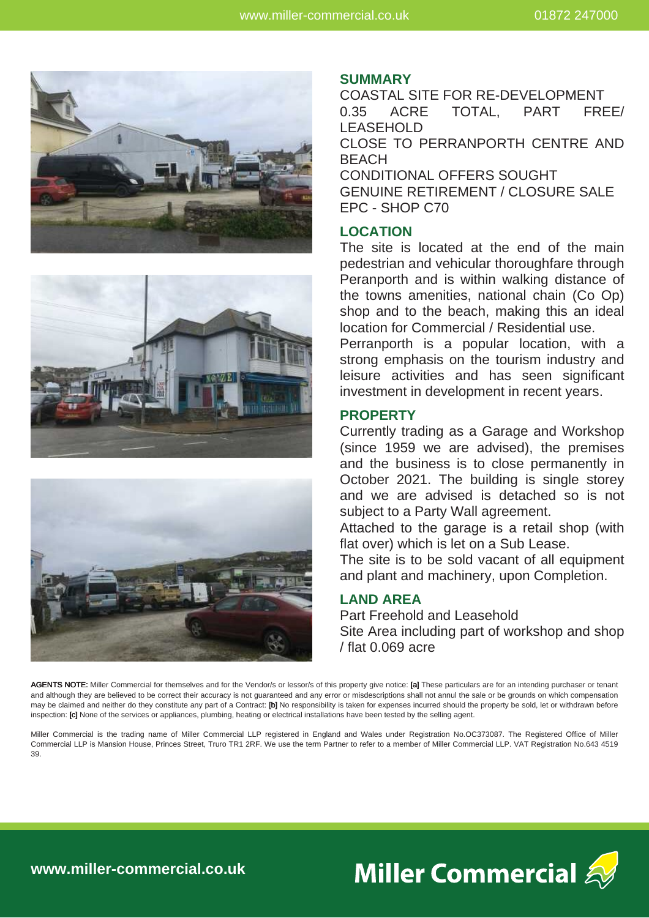





### **SUMMARY**

COASTAL SITE FOR RE-DEVELOPMENT 0.35 ACRE TOTAL, PART FREE/ LEASEHOLD CLOSE TO PERRANPORTH CENTRE AND **BEACH** CONDITIONAL OFFERS SOUGHT GENUINE RETIREMENT / CLOSURE SALE

EPC - SHOP C70

### **LOCATION**

The site is located at the end of the main pedestrian and vehicular thoroughfare through Peranporth and is within walking distance of the towns amenities, national chain (Co Op) shop and to the beach, making this an ideal location for Commercial / Residential use.

Perranporth is a popular location, with a strong emphasis on the tourism industry and leisure activities and has seen significant investment in development in recent years.

### **PROPERTY**

Currently trading as a Garage and Workshop (since 1959 we are advised), the premises and the business is to close permanently in October 2021. The building is single storey and we are advised is detached so is not subject to a Party Wall agreement.

Attached to the garage is a retail shop (with flat over) which is let on a Sub Lease.

The site is to be sold vacant of all equipment and plant and machinery, upon Completion.

## **LAND AREA**

Part Freehold and Leasehold Site Area including part of workshop and shop / flat 0.069 acre

AGENTS NOTE: Miller Commercial for themselves and for the Vendor/s or lessor/s of this property give notice: [a] These particulars are for an intending purchaser or tenant and although they are believed to be correct their accuracy is not guaranteed and any error or misdescriptions shall not annul the sale or be grounds on which compensation may be claimed and neither do they constitute any part of a Contract: [b] No responsibility is taken for expenses incurred should the property be sold, let or withdrawn before inspection: [c] None of the services or appliances, plumbing, heating or electrical installations have been tested by the selling agent.

Miller Commercial is the trading name of Miller Commercial LLP registered in England and Wales under Registration No.OC373087. The Registered Office of Miller Commercial LLP is Mansion House, Princes Street, Truro TR1 2RF. We use the term Partner to refer to a member of Miller Commercial LLP. VAT Registration No.643 4519 39.